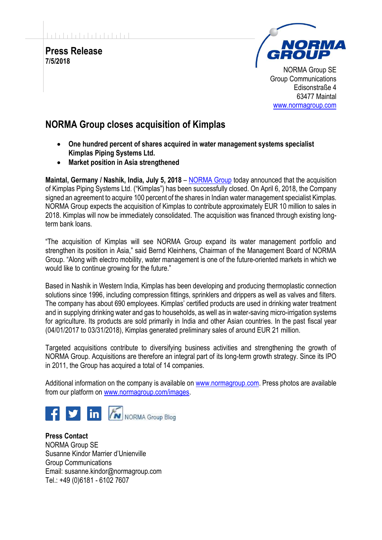

## **NORMA Group closes acquisition of Kimplas**

- **One hundred percent of shares acquired in water management systems specialist Kimplas Piping Systems Ltd.**
- **Market position in Asia strengthened**

**Maintal, Germany / Nashik, India, July 5, 2018** – [NORMA Group](http://www.normagroup.com/) today announced that the acquisition of Kimplas Piping Systems Ltd. ("Kimplas") has been successfully closed. On April 6, 2018, the Company signed an agreement to acquire 100 percent of the shares in Indian water management specialist Kimplas. NORMA Group expects the acquisition of Kimplas to contribute approximately EUR 10 million to sales in 2018. Kimplas will now be immediately consolidated. The acquisition was financed through existing longterm bank loans.

"The acquisition of Kimplas will see NORMA Group expand its water management portfolio and strengthen its position in Asia," said Bernd Kleinhens, Chairman of the Management Board of NORMA Group. "Along with electro mobility, water management is one of the future-oriented markets in which we would like to continue growing for the future."

Based in Nashik in Western India, Kimplas has been developing and producing thermoplastic connection solutions since 1996, including compression fittings, sprinklers and drippers as well as valves and filters. The company has about 690 employees. Kimplas' certified products are used in drinking water treatment and in supplying drinking water and gas to households, as well as in water-saving micro-irrigation systems for agriculture. Its products are sold primarily in India and other Asian countries. In the past fiscal year (04/01/2017 to 03/31/2018), Kimplas generated preliminary sales of around EUR 21 million.

Targeted acquisitions contribute to diversifying business activities and strengthening the growth of NORMA Group. Acquisitions are therefore an integral part of its long-term growth strategy. Since its IPO in 2011, the Group has acquired a total of 14 companies.

Additional information on the company is available on [www.normagroup.com.](http://norma.to/1Y3uYU3) Press photos are available from our platform on [www.normagroup.com/images.](http://norma.to/1UH6YbF)



**Press Contact** NORMA Group SE Susanne Kindor Marrier d'Unienville Group Communications Email: susanne.kindor@normagroup.com Tel.: +49 (0)6181 - 6102 7607